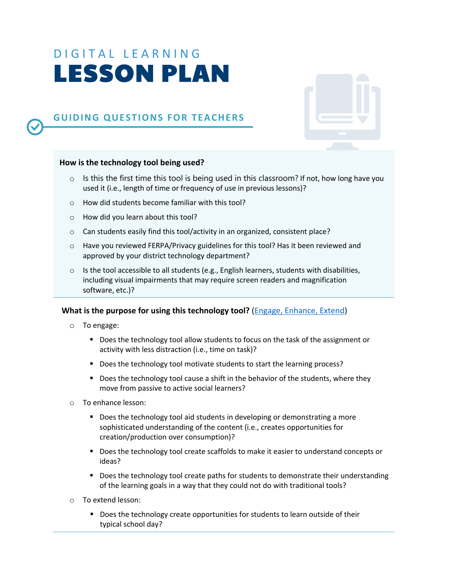# DIGITAL LEARNING LESSON PLAN

## **GUIDING QUESTIONS FOR TEACHERS**

#### **How is the technology tool being used?**

- $\circ$  Is this the first time this tool is being used in this classroom? If not, how long have you used it (i.e., length of time or frequency of use in previous lessons)?
- o How did students become familiar with this tool?
- o How did you learn about this tool?
- o Can students easily find this tool/activity in an organized, consistent place?
- $\circ$  Have you reviewed FERPA/Privacy guidelines for this tool? Has it been reviewed and approved by your district technology department?
- $\circ$  Is the tool accessible to all students (e.g., English learners, students with disabilities, including visual impairments that may require screen readers and magnification software, etc.)?

#### **What is the purpose for using this technology tool?** (Engage, Enhance, Extend)

- o To engage:
	- Does the technology tool allow students to focus on the task of the assignment or activity with less distraction (i.e., time on task)?
	- Does the technology tool motivate students to start the learning process?
	- Does the technology tool cause a shift in the behavior of the students, where they move from passive to active social learners?
- o To enhance lesson:
	- Does the technology tool aid students in developing or demonstrating a more sophisticated understanding of the content (i.e., creates opportunities for creation/production over consumption)?
	- Does the technology tool create scaffolds to make it easier to understand concepts or ideas?
	- Does the technology tool create paths for students to demonstrate their understanding of the learning goals in a way that they could not do with traditional tools?
- o To extend lesson:
	- Does the technology create opportunities for students to learn outside of their typical school day?